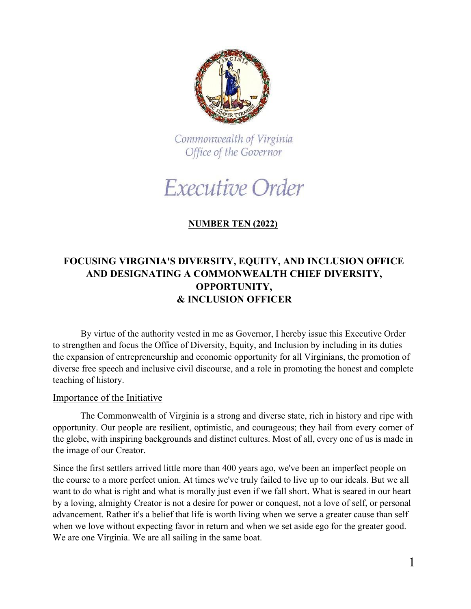

Commonwealth of Virginia Office of the Governor

# Executive Order

## **NUMBER TEN (2022)**

## **FOCUSING VIRGINIA'S DIVERSITY, EQUITY, AND INCLUSION OFFICE AND DESIGNATING A COMMONWEALTH CHIEF DIVERSITY, OPPORTUNITY, & INCLUSION OFFICER**

By virtue of the authority vested in me as Governor, I hereby issue this Executive Order to strengthen and focus the Office of Diversity, Equity, and Inclusion by including in its duties the expansion of entrepreneurship and economic opportunity for all Virginians, the promotion of diverse free speech and inclusive civil discourse, and a role in promoting the honest and complete teaching of history.

#### Importance of the Initiative

The Commonwealth of Virginia is a strong and diverse state, rich in history and ripe with opportunity. Our people are resilient, optimistic, and courageous; they hail from every corner of the globe, with inspiring backgrounds and distinct cultures. Most of all, every one of us is made in the image of our Creator.

Since the first settlers arrived little more than 400 years ago, we've been an imperfect people on the course to a more perfect union. At times we've truly failed to live up to our ideals. But we all want to do what is right and what is morally just even if we fall short. What is seared in our heart by a loving, almighty Creator is not a desire for power or conquest, not a love of self, or personal advancement. Rather it's a belief that life is worth living when we serve a greater cause than self when we love without expecting favor in return and when we set aside ego for the greater good. We are one Virginia. We are all sailing in the same boat.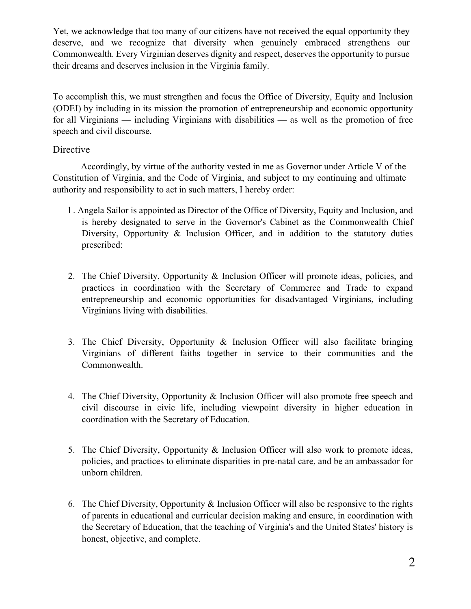Yet, we acknowledge that too many of our citizens have not received the equal opportunity they deserve, and we recognize that diversity when genuinely embraced strengthens our Commonwealth. Every Virginian deserves dignity and respect, deserves the opportunity to pursue their dreams and deserves inclusion in the Virginia family.

To accomplish this, we must strengthen and focus the Office of Diversity, Equity and Inclusion (ODEI) by including in its mission the promotion of entrepreneurship and economic opportunity for all Virginians — including Virginians with disabilities — as well as the promotion of free speech and civil discourse.

### Directive

Accordingly, by virtue of the authority vested in me as Governor under Article V of the Constitution of Virginia, and the Code of Virginia, and subject to my continuing and ultimate authority and responsibility to act in such matters, I hereby order:

- l . Angela Sailor is appointed as Director of the Office of Diversity, Equity and Inclusion, and is hereby designated to serve in the Governor's Cabinet as the Commonwealth Chief Diversity, Opportunity & Inclusion Officer, and in addition to the statutory duties prescribed:
- 2. The Chief Diversity, Opportunity & Inclusion Officer will promote ideas, policies, and practices in coordination with the Secretary of Commerce and Trade to expand entrepreneurship and economic opportunities for disadvantaged Virginians, including Virginians living with disabilities.
- 3. The Chief Diversity, Opportunity & Inclusion Officer will also facilitate bringing Virginians of different faiths together in service to their communities and the Commonwealth.
- 4. The Chief Diversity, Opportunity & Inclusion Officer will also promote free speech and civil discourse in civic life, including viewpoint diversity in higher education in coordination with the Secretary of Education.
- 5. The Chief Diversity, Opportunity & Inclusion Officer will also work to promote ideas, policies, and practices to eliminate disparities in pre-natal care, and be an ambassador for unborn children.
- 6. The Chief Diversity, Opportunity & Inclusion Officer will also be responsive to the rights of parents in educational and curricular decision making and ensure, in coordination with the Secretary of Education, that the teaching of Virginia's and the United States' history is honest, objective, and complete.